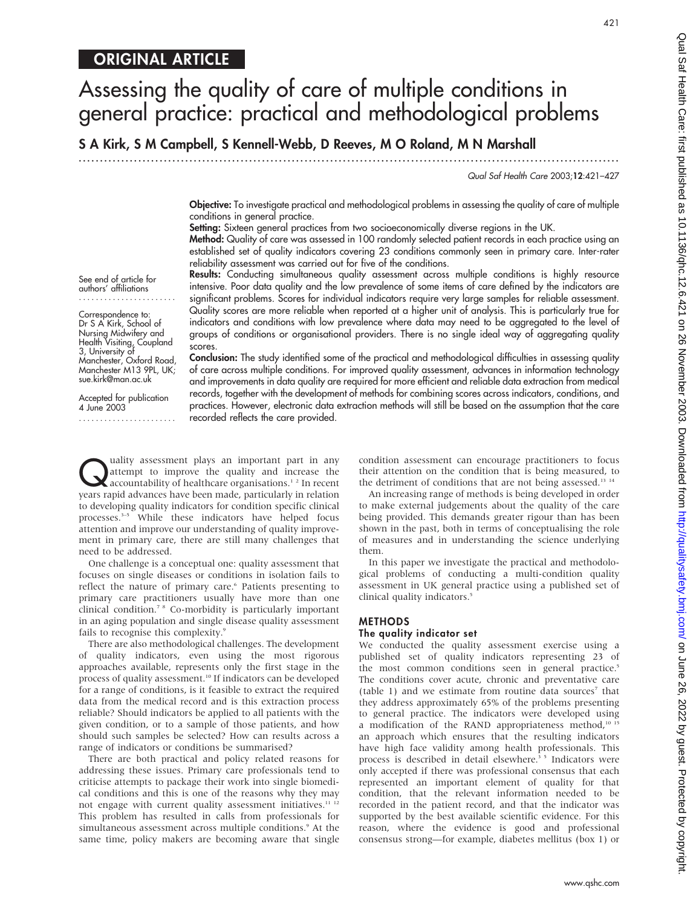# ORIGINAL ARTICLE

# Assessing the quality of care of multiple conditions in general practice: practical and methodological problems

S A Kirk, S M Campbell, S Kennell-Webb, D Reeves, M O Roland, M N Marshall

.............................................................................................................................. .

Qual Saf Health Care 2003;12:421–427

Objective: To investigate practical and methodological problems in assessing the quality of care of multiple conditions in general practice.

Setting: Sixteen general practices from two socioeconomically diverse regions in the UK.

Method: Quality of care was assessed in 100 randomly selected patient records in each practice using an established set of quality indicators covering 23 conditions commonly seen in primary care. Inter-rater reliability assessment was carried out for five of the conditions.

See end of article for authors' affiliations .......................

Correspondence to: Dr S A Kirk, School of Nursing Midwifery and Health Visiting, Coupland 3, University of Manchester, Oxford Road, Manchester M13 9PL, UK; sue.kirk@man.ac.uk

Accepted for publication 4 June 2003 .......................

Results: Conducting simultaneous quality assessment across multiple conditions is highly resource intensive. Poor data quality and the low prevalence of some items of care defined by the indicators are significant problems. Scores for individual indicators require very large samples for reliable assessment. Quality scores are more reliable when reported at a higher unit of analysis. This is particularly true for indicators and conditions with low prevalence where data may need to be aggregated to the level of groups of conditions or organisational providers. There is no single ideal way of aggregating quality scores.

Conclusion: The study identified some of the practical and methodological difficulties in assessing quality of care across multiple conditions. For improved quality assessment, advances in information technology and improvements in data quality are required for more efficient and reliable data extraction from medical records, together with the development of methods for combining scores across indicators, conditions, and practices. However, electronic data extraction methods will still be based on the assumption that the care recorded reflects the care provided.

Quality assessment plays an important part in any<br>accountability of healthcare organisations.<sup>1,2</sup> In recent<br>wears rapid advances have been made particularly in relation attempt to improve the quality and increase the years rapid advances have been made, particularly in relation to developing quality indicators for condition specific clinical processes.<sup>3-5</sup> While these indicators have helped focus attention and improve our understanding of quality improvement in primary care, there are still many challenges that need to be addressed.

One challenge is a conceptual one: quality assessment that focuses on single diseases or conditions in isolation fails to reflect the nature of primary care.<sup>6</sup> Patients presenting to primary care practitioners usually have more than one clinical condition.7 8 Co-morbidity is particularly important in an aging population and single disease quality assessment fails to recognise this complexity.<sup>9</sup>

There are also methodological challenges. The development of quality indicators, even using the most rigorous approaches available, represents only the first stage in the process of quality assessment.<sup>10</sup> If indicators can be developed for a range of conditions, is it feasible to extract the required data from the medical record and is this extraction process reliable? Should indicators be applied to all patients with the given condition, or to a sample of those patients, and how should such samples be selected? How can results across a range of indicators or conditions be summarised?

There are both practical and policy related reasons for addressing these issues. Primary care professionals tend to criticise attempts to package their work into single biomedical conditions and this is one of the reasons why they may not engage with current quality assessment initiatives.<sup>11 12</sup> This problem has resulted in calls from professionals for simultaneous assessment across multiple conditions.<sup>9</sup> At the same time, policy makers are becoming aware that single condition assessment can encourage practitioners to focus their attention on the condition that is being measured, to the detriment of conditions that are not being assessed.<sup>13 14</sup>

An increasing range of methods is being developed in order to make external judgements about the quality of the care being provided. This demands greater rigour than has been shown in the past, both in terms of conceptualising the role of measures and in understanding the science underlying them.

In this paper we investigate the practical and methodological problems of conducting a multi-condition quality assessment in UK general practice using a published set of clinical quality indicators.<sup>5</sup>

## METHODS The quality indicator set

We conducted the quality assessment exercise using a published set of quality indicators representing 23 of the most common conditions seen in general practice.<sup>5</sup> The conditions cover acute, chronic and preventative care (table 1) and we estimate from routine data sources<sup>7</sup> that they address approximately 65% of the problems presenting to general practice. The indicators were developed using a modification of the RAND appropriateness method,<sup>10 15</sup> an approach which ensures that the resulting indicators have high face validity among health professionals. This process is described in detail elsewhere.<sup>35</sup> Indicators were only accepted if there was professional consensus that each represented an important element of quality for that condition, that the relevant information needed to be recorded in the patient record, and that the indicator was supported by the best available scientific evidence. For this reason, where the evidence is good and professional consensus strong—for example, diabetes mellitus (box 1) or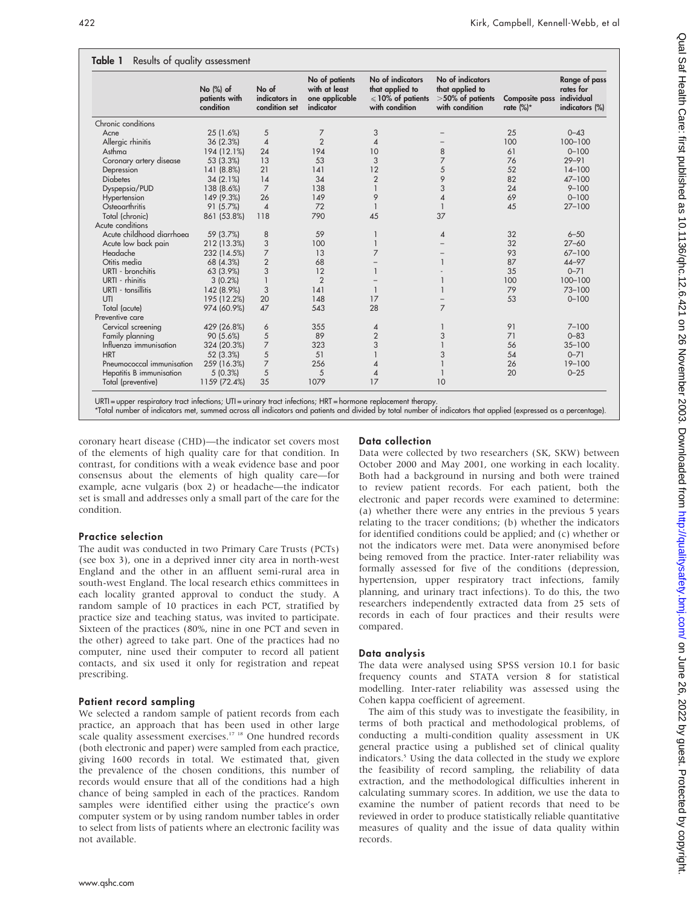|                           | No (%) of<br>patients with<br>condition | No of<br>indicators in<br>condition set | No of patients<br>with at least<br>one applicable<br>indicator | No of indicators<br>that applied to<br>$\leqslant$ 10% of patients<br>with condition | No of indicators<br>that applied to<br>$>50\%$ of patients<br>with condition | Composite pass individual<br>rate $(\%)^*$ | <b>Range of pass</b><br>rates for<br>indicators (%) |
|---------------------------|-----------------------------------------|-----------------------------------------|----------------------------------------------------------------|--------------------------------------------------------------------------------------|------------------------------------------------------------------------------|--------------------------------------------|-----------------------------------------------------|
| Chronic conditions        |                                         |                                         |                                                                |                                                                                      |                                                                              |                                            |                                                     |
| Acne                      | 25 (1.6%)                               | 5                                       | 7                                                              | 3                                                                                    |                                                                              | 25                                         | $0 - 43$                                            |
| Allergic rhinitis         | 36 (2.3%)                               | $\overline{4}$                          | $\overline{2}$                                                 | $\overline{A}$                                                                       |                                                                              | 100                                        | $100 - 100$                                         |
| Asthma                    | 194 (12.1%)                             | 24                                      | 194                                                            | 10                                                                                   | 8                                                                            | 61                                         | $0 - 100$                                           |
| Coronary artery disease   | 53 (3.3%)                               | 13                                      | 53                                                             | 3                                                                                    | $\overline{7}$                                                               | 76                                         | $29 - 91$                                           |
| Depression                | 141 (8.8%)                              | 21                                      | 141                                                            | 12                                                                                   | 5                                                                            | 52                                         | $14 - 100$                                          |
| <b>Diabetes</b>           | 34 (2.1%)                               | 14                                      | 34                                                             | $\overline{2}$                                                                       | 9                                                                            | 82                                         | $47 - 100$                                          |
| Dyspepsia/PUD             | 138 (8.6%)                              | $\overline{7}$                          | 138                                                            |                                                                                      | 3                                                                            | 24                                         | $9 - 100$                                           |
| Hypertension              | 149 (9.3%)                              | 26                                      | 149                                                            | 9                                                                                    | $\overline{4}$                                                               | 69                                         | $0 - 100$                                           |
| Osteoarthritis            | 91 (5.7%)                               | $\overline{4}$                          | 72                                                             |                                                                                      |                                                                              | 45                                         | $27 - 100$                                          |
| Total (chronic)           | 861 (53.8%)                             | 118                                     | 790                                                            | 45                                                                                   | 37                                                                           |                                            |                                                     |
| Acute conditions          |                                         |                                         |                                                                |                                                                                      |                                                                              |                                            |                                                     |
| Acute childhood diarrhoea | 59 (3.7%)                               | 8                                       | 59                                                             |                                                                                      | $\overline{4}$                                                               | 32                                         | $6 - 50$                                            |
| Acute low back pain       | 212 (13.3%)                             | 3                                       | 100                                                            |                                                                                      |                                                                              | 32                                         | $27 - 60$                                           |
| Headache                  | 232 (14.5%)                             | $\overline{7}$                          | 13                                                             | $\overline{7}$                                                                       |                                                                              | 93                                         | $67 - 100$                                          |
| Otitis media              | 68 (4.3%)                               | $\overline{2}$                          | 68                                                             |                                                                                      |                                                                              | 87                                         | $44 - 97$                                           |
| URTI - bronchitis         | 63 (3.9%)                               | 3                                       | 12                                                             |                                                                                      |                                                                              | 35                                         | $0 - 71$                                            |
| URTI - rhinitis           | 3(0.2%)                                 |                                         | $\overline{2}$                                                 |                                                                                      |                                                                              | 100                                        | $100 - 100$                                         |
| URTI - tonsillitis        | 142 (8.9%)                              | 3                                       | 141                                                            |                                                                                      |                                                                              | 79                                         | $73 - 100$                                          |
| UTI                       | 195 (12.2%)                             | 20                                      | 148                                                            | 17                                                                                   |                                                                              | 53                                         | $0 - 100$                                           |
| Total (acute)             | 974 (60.9%)                             | 47                                      | 543                                                            | 28                                                                                   | $\overline{7}$                                                               |                                            |                                                     |
| Preventive care           |                                         |                                         |                                                                |                                                                                      |                                                                              |                                            |                                                     |
| Cervical screening        | 429 (26.8%)                             | 6                                       | 355                                                            | $\overline{4}$                                                                       |                                                                              | 91                                         | $7 - 100$                                           |
| Family planning           | 90(5.6%)                                | 5                                       | 89                                                             | $\overline{2}$                                                                       | 3                                                                            | 71                                         | $0 - 83$                                            |
| Influenza immunisation    | 324 (20.3%)                             | $\overline{7}$                          | 323                                                            | 3                                                                                    |                                                                              | 56                                         | $35 - 100$                                          |
| <b>HRT</b>                | 52 (3.3%)                               | 5                                       | 51                                                             |                                                                                      | 3                                                                            | 54                                         | $0 - 71$                                            |
| Pneumococcal immunisation | 259 (16.3%)                             | $\overline{7}$                          | 256                                                            | ⊿                                                                                    |                                                                              | 26                                         | $19 - 100$                                          |
| Hepatitis B immunisation  | $5(0.3\%)$                              | 5                                       | 5                                                              | 4                                                                                    |                                                                              | 20                                         | $0 - 25$                                            |
| Total (preventive)        | 1159 (72.4%)                            | 35                                      | 1079                                                           | 17                                                                                   | 10                                                                           |                                            |                                                     |

URTI = upper respiratory tract infections; UTI = urinary tract infections; HRT = hormone replacement therapy.

\*Total number of indicators met, summed across all indicators and patients and divided by total number of indicators that applied (expressed as a percentage).

coronary heart disease (CHD)—the indicator set covers most of the elements of high quality care for that condition. In contrast, for conditions with a weak evidence base and poor consensus about the elements of high quality care—for example, acne vulgaris (box 2) or headache—the indicator set is small and addresses only a small part of the care for the condition.

## Practice selection

The audit was conducted in two Primary Care Trusts (PCTs) (see box 3), one in a deprived inner city area in north-west England and the other in an affluent semi-rural area in south-west England. The local research ethics committees in each locality granted approval to conduct the study. A random sample of 10 practices in each PCT, stratified by practice size and teaching status, was invited to participate. Sixteen of the practices (80%, nine in one PCT and seven in the other) agreed to take part. One of the practices had no computer, nine used their computer to record all patient contacts, and six used it only for registration and repeat prescribing.

## Patient record sampling

We selected a random sample of patient records from each practice, an approach that has been used in other large scale quality assessment exercises.<sup>17</sup> <sup>18</sup> One hundred records (both electronic and paper) were sampled from each practice, giving 1600 records in total. We estimated that, given the prevalence of the chosen conditions, this number of records would ensure that all of the conditions had a high chance of being sampled in each of the practices. Random samples were identified either using the practice's own computer system or by using random number tables in order to select from lists of patients where an electronic facility was not available.

## Data collection

Data were collected by two researchers (SK, SKW) between October 2000 and May 2001, one working in each locality. Both had a background in nursing and both were trained to review patient records. For each patient, both the electronic and paper records were examined to determine: (a) whether there were any entries in the previous 5 years relating to the tracer conditions; (b) whether the indicators for identified conditions could be applied; and (c) whether or not the indicators were met. Data were anonymised before being removed from the practice. Inter-rater reliability was formally assessed for five of the conditions (depression, hypertension, upper respiratory tract infections, family planning, and urinary tract infections). To do this, the two researchers independently extracted data from 25 sets of records in each of four practices and their results were compared.

## Data analysis

The data were analysed using SPSS version 10.1 for basic frequency counts and STATA version 8 for statistical modelling. Inter-rater reliability was assessed using the Cohen kappa coefficient of agreement.

The aim of this study was to investigate the feasibility, in terms of both practical and methodological problems, of conducting a multi-condition quality assessment in UK general practice using a published set of clinical quality indicators.<sup>5</sup> Using the data collected in the study we explore the feasibility of record sampling, the reliability of data extraction, and the methodological difficulties inherent in calculating summary scores. In addition, we use the data to examine the number of patient records that need to be reviewed in order to produce statistically reliable quantitative measures of quality and the issue of data quality within records.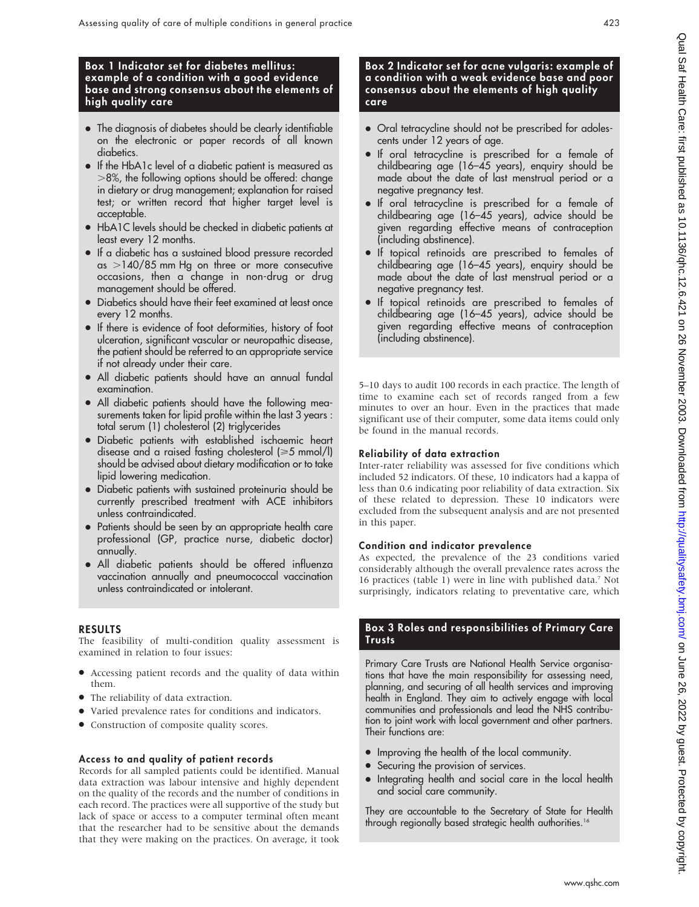## Box 1 Indicator set for diabetes mellitus: example of a condition with a good evidence base and strong consensus about the elements of high quality care

- The diagnosis of diabetes should be clearly identifiable on the electronic or paper records of all known diabetics.
- If the HbA1c level of a diabetic patient is measured as .8%, the following options should be offered: change in dietary or drug management; explanation for raised test; or written record that higher target level is acceptable.
- HbA1C levels should be checked in diabetic patients at least every 12 months.
- If a diabetic has a sustained blood pressure recorded as  $>140/85$  mm Hg on three or more consecutive occasions, then a change in non-drug or drug management should be offered.
- Diabetics should have their feet examined at least once every 12 months.
- If there is evidence of foot deformities, history of foot ulceration, significant vascular or neuropathic disease, the patient should be referred to an appropriate service if not already under their care.
- All diabetic patients should have an annual fundal examination.
- All diabetic patients should have the following measurements taken for lipid profile within the last 3 years : total serum (1) cholesterol (2) triglycerides
- $\bullet$  Diabetic patients with established ischaemic heart disease and a raised fasting cholesterol  $(\geq 5 \text{ mmol/l})$ should be advised about dietary modification or to take lipid lowering medication.
- Diabetic patients with sustained proteinuria should be currently prescribed treatment with ACE inhibitors unless contraindicated.
- Patients should be seen by an appropriate health care professional (GP, practice nurse, diabetic doctor) annually.
- All diabetic patients should be offered influenza vaccination annually and pneumococcal vaccination unless contraindicated or intolerant.

## RESULTS

The feasibility of multi-condition quality assessment is examined in relation to four issues:

- N Accessing patient records and the quality of data within them.
- The reliability of data extraction.
- N Varied prevalence rates for conditions and indicators.
- Construction of composite quality scores.

## Access to and quality of patient records

Records for all sampled patients could be identified. Manual data extraction was labour intensive and highly dependent on the quality of the records and the number of conditions in each record. The practices were all supportive of the study but lack of space or access to a computer terminal often meant that the researcher had to be sensitive about the demands that they were making on the practices. On average, it took

## Box 2 Indicator set for acne vulgaris: example of a condition with a weak evidence base and poor consensus about the elements of high quality care

- Oral tetracycline should not be prescribed for adolescents under 12 years of age.
- If oral tetracycline is prescribed for a female of childbearing age (16–45 years), enquiry should be made about the date of last menstrual period or a negative pregnancy test.
- If oral tetracycline is prescribed for a female of childbearing age (16–45 years), advice should be given regarding effective means of contraception (including abstinence).
- N If topical retinoids are prescribed to females of childbearing age (16–45 years), enquiry should be made about the date of last menstrual period or a negative pregnancy test.
- **•** If topical retinoids are prescribed to females of childbearing age (16–45 years), advice should be given regarding effective means of contraception (including abstinence).

5–10 days to audit 100 records in each practice. The length of time to examine each set of records ranged from a few minutes to over an hour. Even in the practices that made significant use of their computer, some data items could only be found in the manual records.

## Reliability of data extraction

Inter-rater reliability was assessed for five conditions which included 52 indicators. Of these, 10 indicators had a kappa of less than 0.6 indicating poor reliability of data extraction. Six of these related to depression. These 10 indicators were excluded from the subsequent analysis and are not presented in this paper.

## Condition and indicator prevalence

As expected, the prevalence of the 23 conditions varied considerably although the overall prevalence rates across the 16 practices (table 1) were in line with published data.7 Not surprisingly, indicators relating to preventative care, which

## Box 3 Roles and responsibilities of Primary Care Trusts

Primary Care Trusts are National Health Service organisations that have the main responsibility for assessing need, planning, and securing of all health services and improving health in England. They aim to actively engage with local communities and professionals and lead the NHS contribution to joint work with local government and other partners. Their functions are:

- $\bullet$  Improving the health of the local community.
- Securing the provision of services.
- Integrating health and social care in the local health and social care community.

They are accountable to the Secretary of State for Health through regionally based strategic health authorities.<sup>16</sup>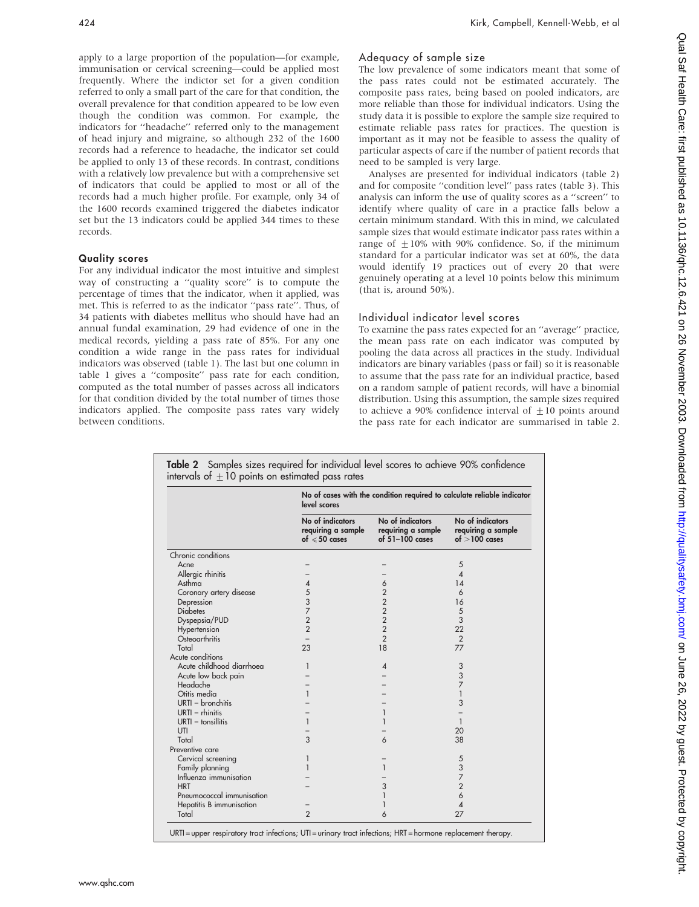apply to a large proportion of the population—for example, immunisation or cervical screening—could be applied most frequently. Where the indictor set for a given condition referred to only a small part of the care for that condition, the overall prevalence for that condition appeared to be low even though the condition was common. For example, the indicators for ''headache'' referred only to the management of head injury and migraine, so although 232 of the 1600 records had a reference to headache, the indicator set could be applied to only 13 of these records. In contrast, conditions with a relatively low prevalence but with a comprehensive set of indicators that could be applied to most or all of the records had a much higher profile. For example, only 34 of the 1600 records examined triggered the diabetes indicator set but the 13 indicators could be applied 344 times to these records.

## Quality scores

For any individual indicator the most intuitive and simplest way of constructing a ''quality score'' is to compute the percentage of times that the indicator, when it applied, was met. This is referred to as the indicator ''pass rate''. Thus, of 34 patients with diabetes mellitus who should have had an annual fundal examination, 29 had evidence of one in the medical records, yielding a pass rate of 85%. For any one condition a wide range in the pass rates for individual indicators was observed (table 1). The last but one column in table 1 gives a ''composite'' pass rate for each condition, computed as the total number of passes across all indicators for that condition divided by the total number of times those indicators applied. The composite pass rates vary widely between conditions.

## Adequacy of sample size

The low prevalence of some indicators meant that some of the pass rates could not be estimated accurately. The composite pass rates, being based on pooled indicators, are more reliable than those for individual indicators. Using the study data it is possible to explore the sample size required to estimate reliable pass rates for practices. The question is important as it may not be feasible to assess the quality of particular aspects of care if the number of patient records that need to be sampled is very large.

Analyses are presented for individual indicators (table 2) and for composite ''condition level'' pass rates (table 3). This analysis can inform the use of quality scores as a ''screen'' to identify where quality of care in a practice falls below a certain minimum standard. With this in mind, we calculated sample sizes that would estimate indicator pass rates within a range of  $\pm 10\%$  with 90% confidence. So, if the minimum standard for a particular indicator was set at 60%, the data would identify 19 practices out of every 20 that were genuinely operating at a level 10 points below this minimum (that is, around 50%).

## Individual indicator level scores

To examine the pass rates expected for an ''average'' practice, the mean pass rate on each indicator was computed by pooling the data across all practices in the study. Individual indicators are binary variables (pass or fail) so it is reasonable to assume that the pass rate for an individual practice, based on a random sample of patient records, will have a binomial distribution. Using this assumption, the sample sizes required to achieve a 90% confidence interval of  $\pm 10$  points around the pass rate for each indicator are summarised in table 2.

|                           | No of cases with the condition required to calculate reliable indicator<br>level scores |                                                           |                                                            |  |  |
|---------------------------|-----------------------------------------------------------------------------------------|-----------------------------------------------------------|------------------------------------------------------------|--|--|
|                           | No of indicators<br>requiring a sample<br>of $\leqslant$ 50 cases                       | No of indicators<br>requiring a sample<br>of 51-100 cases | No of indicators<br>requiring a sample<br>of $>$ 100 cases |  |  |
| Chronic conditions        |                                                                                         |                                                           |                                                            |  |  |
| Acne                      |                                                                                         |                                                           | 5                                                          |  |  |
| Allergic rhinitis         |                                                                                         |                                                           | 4                                                          |  |  |
| Asthma                    | 4                                                                                       | 6                                                         | 14                                                         |  |  |
| Coronary artery disease   | 5                                                                                       | $\overline{2}$                                            | 6                                                          |  |  |
| Depression                | 3                                                                                       | $\overline{2}$                                            | 16                                                         |  |  |
| <b>Diabetes</b>           | $\overline{7}$                                                                          | $\overline{2}$                                            | 5                                                          |  |  |
| Dyspepsia/PUD             | $\overline{2}$                                                                          | $\overline{2}$                                            | 3                                                          |  |  |
| Hypertension              | $\overline{2}$                                                                          | $\overline{2}$                                            | 22                                                         |  |  |
| Osteoarthritis            |                                                                                         | $\overline{2}$                                            | $\overline{2}$                                             |  |  |
| Total                     | 23                                                                                      | 18                                                        | 77                                                         |  |  |
| Acute conditions          |                                                                                         |                                                           |                                                            |  |  |
| Acute childhood diarrhoea | 1                                                                                       | ◢                                                         | 3                                                          |  |  |
| Acute low back pain       |                                                                                         |                                                           | 3                                                          |  |  |
| Headache                  |                                                                                         |                                                           | 7                                                          |  |  |
| Otitis media              | 1                                                                                       |                                                           | $\mathbf{1}$                                               |  |  |
| URTI - bronchitis         |                                                                                         |                                                           | 3                                                          |  |  |
| $URTI - rhinitis$         |                                                                                         | 1                                                         |                                                            |  |  |
| URTI - tonsillitis        | $\mathbf{1}$                                                                            | $\mathbf{1}$                                              | 1                                                          |  |  |
| UTI                       |                                                                                         |                                                           | 20                                                         |  |  |
| Total                     | 3                                                                                       | 6                                                         | 38                                                         |  |  |
| Preventive care           |                                                                                         |                                                           |                                                            |  |  |
| Cervical screening        | 1                                                                                       |                                                           | 5                                                          |  |  |
| Family planning           | 1                                                                                       | 1                                                         | 3                                                          |  |  |
| Influenza immunisation    |                                                                                         |                                                           | 7                                                          |  |  |
| <b>HRT</b>                |                                                                                         | 3                                                         | $\overline{2}$                                             |  |  |
| Pneumococcal immunisation |                                                                                         | $\mathbf{1}$                                              | 6                                                          |  |  |
| Hepatitis B immunisation  |                                                                                         | $\mathbf{1}$                                              | 4                                                          |  |  |
| Total                     | $\overline{2}$                                                                          | 6                                                         | 27                                                         |  |  |

# Qual Saf Health Care: first published as 10.1136/qhc.12.6.421 on 26 November 2003. Downloaded from http://qualitysafety.bmj.com/ on June 26, 2022 by guest. Protected by copyright Qual Sat Health Care: first published as 10.1136/qhc.12.6.421 on 26 November 2003. Downloaded from <http://qualitysafety.bmj.com/> On June 26, 2022 by guest. Protected by copyright.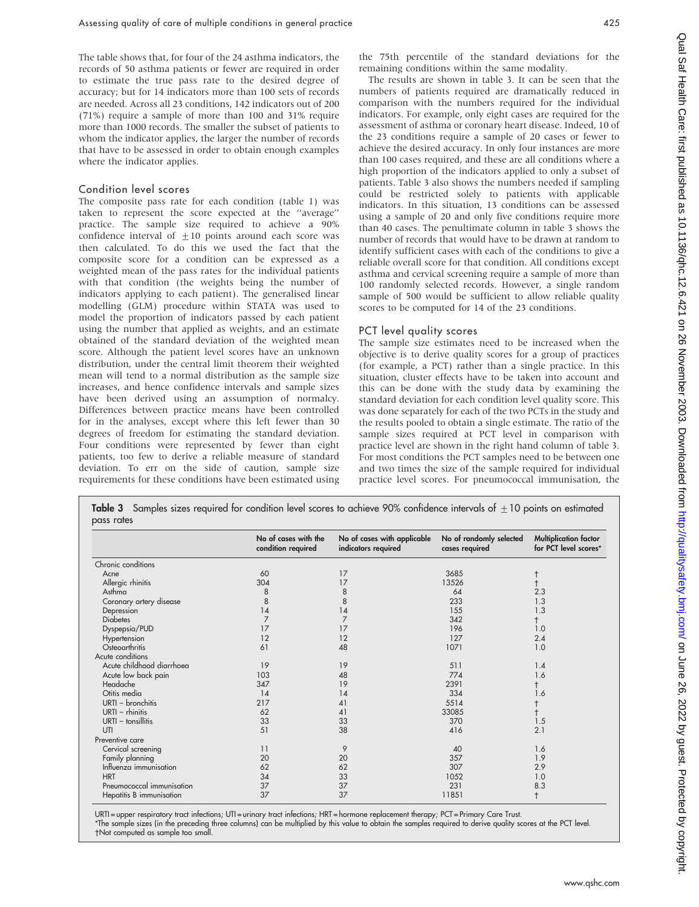The table shows that, for four of the 24 asthma indicators, the records of 50 asthma patients or fewer are required in order to estimate the true pass rate to the desired degree of accuracy; but for 14 indicators more than 100 sets of records are needed. Across all 23 conditions, 142 indicators out of 200 (71%) require a sample of more than 100 and 31% require more than 1000 records. The smaller the subset of patients to whom the indicator applies, the larger the number of records that have to be assessed in order to obtain enough examples where the indicator applies.

## Condition level scores

The composite pass rate for each condition (table 1) was taken to represent the score expected at the ''average'' practice. The sample size required to achieve a 90% confidence interval of  $\pm 10$  points around each score was then calculated. To do this we used the fact that the composite score for a condition can be expressed as a weighted mean of the pass rates for the individual patients with that condition (the weights being the number of indicators applying to each patient). The generalised linear modelling (GLM) procedure within STATA was used to model the proportion of indicators passed by each patient using the number that applied as weights, and an estimate obtained of the standard deviation of the weighted mean score. Although the patient level scores have an unknown distribution, under the central limit theorem their weighted mean will tend to a normal distribution as the sample size increases, and hence confidence intervals and sample sizes have been derived using an assumption of normalcy. Differences between practice means have been controlled for in the analyses, except where this left fewer than 30 degrees of freedom for estimating the standard deviation. Four conditions were represented by fewer than eight patients, too few to derive a reliable measure of standard deviation. To err on the side of caution, sample size requirements for these conditions have been estimated using the 75th percentile of the standard deviations for the remaining conditions within the same modality.

The results are shown in table 3. It can be seen that the numbers of patients required are dramatically reduced in comparison with the numbers required for the individual indicators. For example, only eight cases are required for the assessment of asthma or coronary heart disease. Indeed, 10 of the 23 conditions require a sample of 20 cases or fewer to achieve the desired accuracy. In only four instances are more than 100 cases required, and these are all conditions where a high proportion of the indicators applied to only a subset of patients. Table 3 also shows the numbers needed if sampling could be restricted solely to patients with applicable indicators. In this situation, 13 conditions can be assessed using a sample of 20 and only five conditions require more than 40 cases. The penultimate column in table 3 shows the number of records that would have to be drawn at random to identify sufficient cases with each of the conditions to give a reliable overall score for that condition. All conditions except asthma and cervical screening require a sample of more than 100 randomly selected records. However, a single random sample of 500 would be sufficient to allow reliable quality scores to be computed for 14 of the 23 conditions.

## PCT level quality scores

The sample size estimates need to be increased when the objective is to derive quality scores for a group of practices (for example, a PCT) rather than a single practice. In this situation, cluster effects have to be taken into account and this can be done with the study data by examining the standard deviation for each condition level quality score. This was done separately for each of the two PCTs in the study and the results pooled to obtain a single estimate. The ratio of the sample sizes required at PCT level in comparison with practice level are shown in the right hand column of table 3. For most conditions the PCT samples need to be between one and two times the size of the sample required for individual practice level scores. For pneumococcal immunisation, the

|                           | No of cases with the<br>condition required | No of cases with applicable<br>indicators required | No of randomly selected<br>cases required | <b>Multiplication factor</b><br>for PCT level scores* |
|---------------------------|--------------------------------------------|----------------------------------------------------|-------------------------------------------|-------------------------------------------------------|
| Chronic conditions        |                                            |                                                    |                                           |                                                       |
| Acne                      | 60                                         | 17                                                 | 3685                                      | $\dagger$                                             |
| Allergic rhinitis         | 304                                        | 17                                                 | 13526                                     | $\ddagger$                                            |
| Asthma                    | 8                                          | 8                                                  | 64                                        | 2.3                                                   |
| Coronary artery disease   | 8                                          | 8                                                  | 233                                       | 1.3                                                   |
| Depression                | 14                                         | 14                                                 | 155                                       | 1.3                                                   |
| <b>Diabetes</b>           | $\overline{7}$                             | $\overline{7}$                                     | 342                                       | $\ddagger$                                            |
| Dyspepsia/PUD             | 17                                         | 17                                                 | 196                                       | 1.0                                                   |
| Hypertension              | 12                                         | 12                                                 | 127                                       | 2.4                                                   |
| Osteoarthritis            | 61                                         | 48                                                 | 1071                                      | 1.0                                                   |
| Acute conditions          |                                            |                                                    |                                           |                                                       |
| Acute childhood diarrhoea | 19                                         | 19                                                 | 511                                       | 1.4                                                   |
| Acute low back pain       | 103                                        | 48                                                 | 774                                       | 1.6                                                   |
| Headache                  | 347                                        | 19                                                 | 2391                                      | $\ddagger$                                            |
| Otitis media              | 14                                         | 14                                                 | 334                                       | 1.6                                                   |
| URTI - bronchitis         | 217                                        | 41                                                 | 5514                                      | $\ddagger$                                            |
| $URTI - rhinitis$         | 62                                         | 41                                                 | 33085                                     | $\ddagger$                                            |
| $URTI -$ tonsillitis      | 33                                         | 33                                                 | 370                                       | 1.5                                                   |
| UTI                       | 51                                         | 38                                                 | 416                                       | 2.1                                                   |
| Preventive care           |                                            |                                                    |                                           |                                                       |
| Cervical screening        | 11                                         | 9                                                  | 40                                        | 1.6                                                   |
| Family planning           | 20                                         | 20                                                 | 357                                       | 1.9                                                   |
| Influenza immunisation    | 62                                         | 62                                                 | 307                                       | 2.9                                                   |
| <b>HRT</b>                | 34                                         | 33                                                 | 1052                                      | 1.0                                                   |
| Pneumococcal immunisation | 37                                         | 37                                                 | 231                                       | 8.3                                                   |
| Hepatitis B immunisation  | 37                                         | 37                                                 | 11851                                     | $\ddagger$                                            |

URTI = upper respiratory tract infections; UTI = urinary tract infections; HRT = hormone replacement therapy; PCT = Primary Care Trust. \*The sample sizes (in the preceding three columns) can be multiplied by this value to obtain the samples required to derive quality scores at the PCT level. -Not computed as sample too small.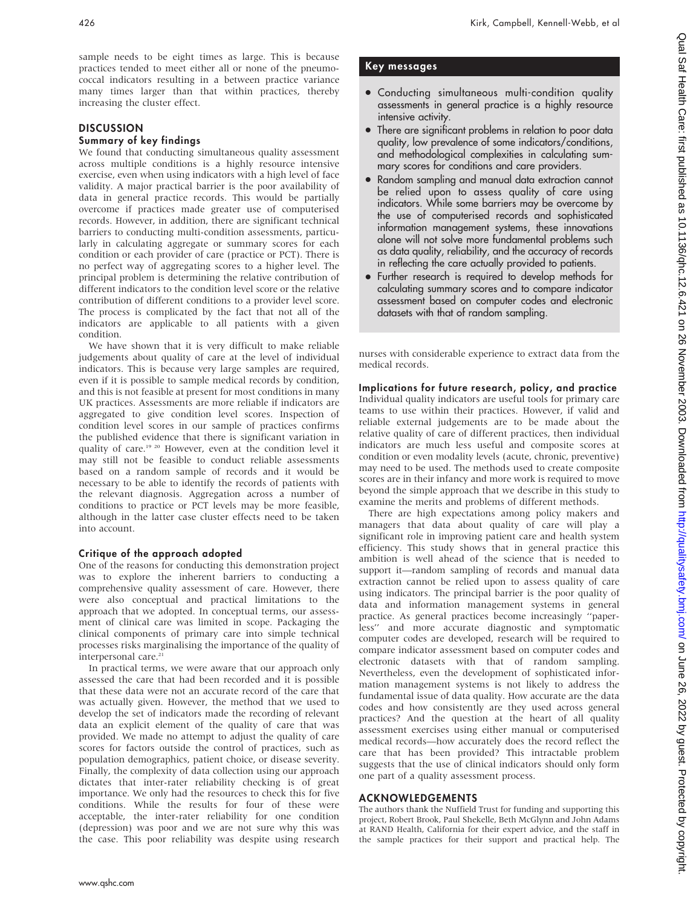sample needs to be eight times as large. This is because practices tended to meet either all or none of the pneumococcal indicators resulting in a between practice variance many times larger than that within practices, thereby increasing the cluster effect.

## **DISCUSSION**

## Summary of key findings

We found that conducting simultaneous quality assessment across multiple conditions is a highly resource intensive exercise, even when using indicators with a high level of face validity. A major practical barrier is the poor availability of data in general practice records. This would be partially overcome if practices made greater use of computerised records. However, in addition, there are significant technical barriers to conducting multi-condition assessments, particularly in calculating aggregate or summary scores for each condition or each provider of care (practice or PCT). There is no perfect way of aggregating scores to a higher level. The principal problem is determining the relative contribution of different indicators to the condition level score or the relative contribution of different conditions to a provider level score. The process is complicated by the fact that not all of the indicators are applicable to all patients with a given condition.

We have shown that it is very difficult to make reliable judgements about quality of care at the level of individual indicators. This is because very large samples are required, even if it is possible to sample medical records by condition, and this is not feasible at present for most conditions in many UK practices. Assessments are more reliable if indicators are aggregated to give condition level scores. Inspection of condition level scores in our sample of practices confirms the published evidence that there is significant variation in quality of care.<sup>19 20</sup> However, even at the condition level it may still not be feasible to conduct reliable assessments based on a random sample of records and it would be necessary to be able to identify the records of patients with the relevant diagnosis. Aggregation across a number of conditions to practice or PCT levels may be more feasible, although in the latter case cluster effects need to be taken into account.

## Critique of the approach adopted

One of the reasons for conducting this demonstration project was to explore the inherent barriers to conducting a comprehensive quality assessment of care. However, there were also conceptual and practical limitations to the approach that we adopted. In conceptual terms, our assessment of clinical care was limited in scope. Packaging the clinical components of primary care into simple technical processes risks marginalising the importance of the quality of interpersonal care.<sup>21</sup>

In practical terms, we were aware that our approach only assessed the care that had been recorded and it is possible that these data were not an accurate record of the care that was actually given. However, the method that we used to develop the set of indicators made the recording of relevant data an explicit element of the quality of care that was provided. We made no attempt to adjust the quality of care scores for factors outside the control of practices, such as population demographics, patient choice, or disease severity. Finally, the complexity of data collection using our approach dictates that inter-rater reliability checking is of great importance. We only had the resources to check this for five conditions. While the results for four of these were acceptable, the inter-rater reliability for one condition (depression) was poor and we are not sure why this was the case. This poor reliability was despite using research

## Key messages

- Conducting simultaneous multi-condition quality assessments in general practice is a highly resource intensive activity.
- There are significant problems in relation to poor data quality, low prevalence of some indicators/conditions, and methodological complexities in calculating summary scores for conditions and care providers.
- Random sampling and manual data extraction cannot be relied upon to assess quality of care using indicators. While some barriers may be overcome by the use of computerised records and sophisticated information management systems, these innovations alone will not solve more fundamental problems such as data quality, reliability, and the accuracy of records in reflecting the care actually provided to patients.
- Further research is required to develop methods for calculating summary scores and to compare indicator assessment based on computer codes and electronic datasets with that of random sampling.

nurses with considerable experience to extract data from the medical records.

## Implications for future research, policy, and practice

Individual quality indicators are useful tools for primary care teams to use within their practices. However, if valid and reliable external judgements are to be made about the relative quality of care of different practices, then individual indicators are much less useful and composite scores at condition or even modality levels (acute, chronic, preventive) may need to be used. The methods used to create composite scores are in their infancy and more work is required to move beyond the simple approach that we describe in this study to examine the merits and problems of different methods.

There are high expectations among policy makers and managers that data about quality of care will play a significant role in improving patient care and health system efficiency. This study shows that in general practice this ambition is well ahead of the science that is needed to support it—random sampling of records and manual data extraction cannot be relied upon to assess quality of care using indicators. The principal barrier is the poor quality of data and information management systems in general practice. As general practices become increasingly ''paperless'' and more accurate diagnostic and symptomatic computer codes are developed, research will be required to compare indicator assessment based on computer codes and electronic datasets with that of random sampling. Nevertheless, even the development of sophisticated information management systems is not likely to address the fundamental issue of data quality. How accurate are the data codes and how consistently are they used across general practices? And the question at the heart of all quality assessment exercises using either manual or computerised medical records—how accurately does the record reflect the care that has been provided? This intractable problem suggests that the use of clinical indicators should only form one part of a quality assessment process.

## ACKNOWLEDGEMENTS

The authors thank the Nuffield Trust for funding and supporting this project, Robert Brook, Paul Shekelle, Beth McGlynn and John Adams at RAND Health, California for their expert advice, and the staff in the sample practices for their support and practical help. The